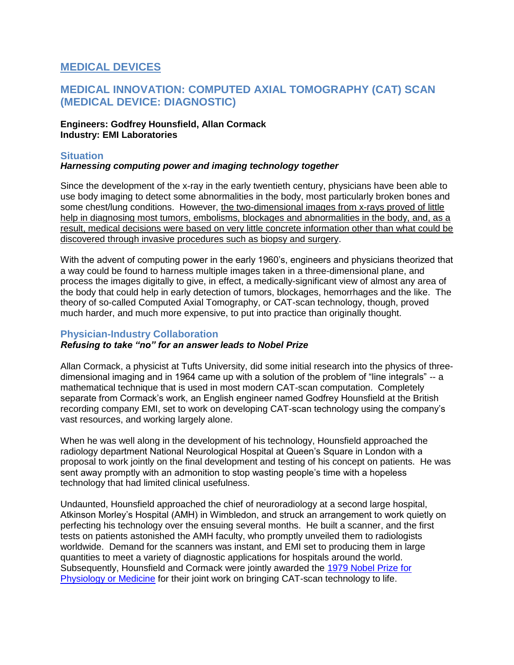# **MEDICAL DEVICES**

# **MEDICAL INNOVATION: COMPUTED AXIAL TOMOGRAPHY (CAT) SCAN (MEDICAL DEVICE: DIAGNOSTIC)**

## **Engineers: Godfrey Hounsfield, Allan Cormack Industry: EMI Laboratories**

## **Situation**

## *Harnessing computing power and imaging technology together*

Since the development of the x-ray in the early twentieth century, physicians have been able to use body imaging to detect some abnormalities in the body, most particularly broken bones and some chest/lung conditions. However, the two-dimensional images from x-rays proved of little help in diagnosing most tumors, embolisms, blockages and abnormalities in the body, and, as a result, medical decisions were based on very little concrete information other than what could be discovered through invasive procedures such as biopsy and surgery.

With the advent of computing power in the early 1960's, engineers and physicians theorized that a way could be found to harness multiple images taken in a three-dimensional plane, and process the images digitally to give, in effect, a medically-significant view of almost any area of the body that could help in early detection of tumors, blockages, hemorrhages and the like. The theory of so-called Computed Axial Tomography, or CAT-scan technology, though, proved much harder, and much more expensive, to put into practice than originally thought.

#### **Physician-Industry Collaboration**

# *Refusing to take "no" for an answer leads to Nobel Prize*

Allan Cormack, a physicist at Tufts University, did some initial research into the physics of threedimensional imaging and in 1964 came up with a solution of the problem of "line integrals" -- a mathematical technique that is used in most modern CAT-scan computation. Completely separate from Cormack's work, an English engineer named Godfrey Hounsfield at the British recording company EMI, set to work on developing CAT-scan technology using the company's vast resources, and working largely alone.

When he was well along in the development of his technology, Hounsfield approached the radiology department National Neurological Hospital at Queen's Square in London with a proposal to work jointly on the final development and testing of his concept on patients. He was sent away promptly with an admonition to stop wasting people's time with a hopeless technology that had limited clinical usefulness.

Undaunted, Hounsfield approached the chief of neuroradiology at a second large hospital, Atkinson Morley's Hospital (AMH) in Wimbledon, and struck an arrangement to work quietly on perfecting his technology over the ensuing several months. He built a scanner, and the first tests on patients astonished the AMH faculty, who promptly unveiled them to radiologists worldwide. Demand for the scanners was instant, and EMI set to producing them in large quantities to meet a variety of diagnostic applications for hospitals around the world. Subsequently, Hounsfield and Cormack were jointly awarded the [1979 Nobel Prize for](http://nobelprize.org/nobel_prizes/medicine/laureates/1979/)  [Physiology or Medicine](http://nobelprize.org/nobel_prizes/medicine/laureates/1979/) for their joint work on bringing CAT-scan technology to life.